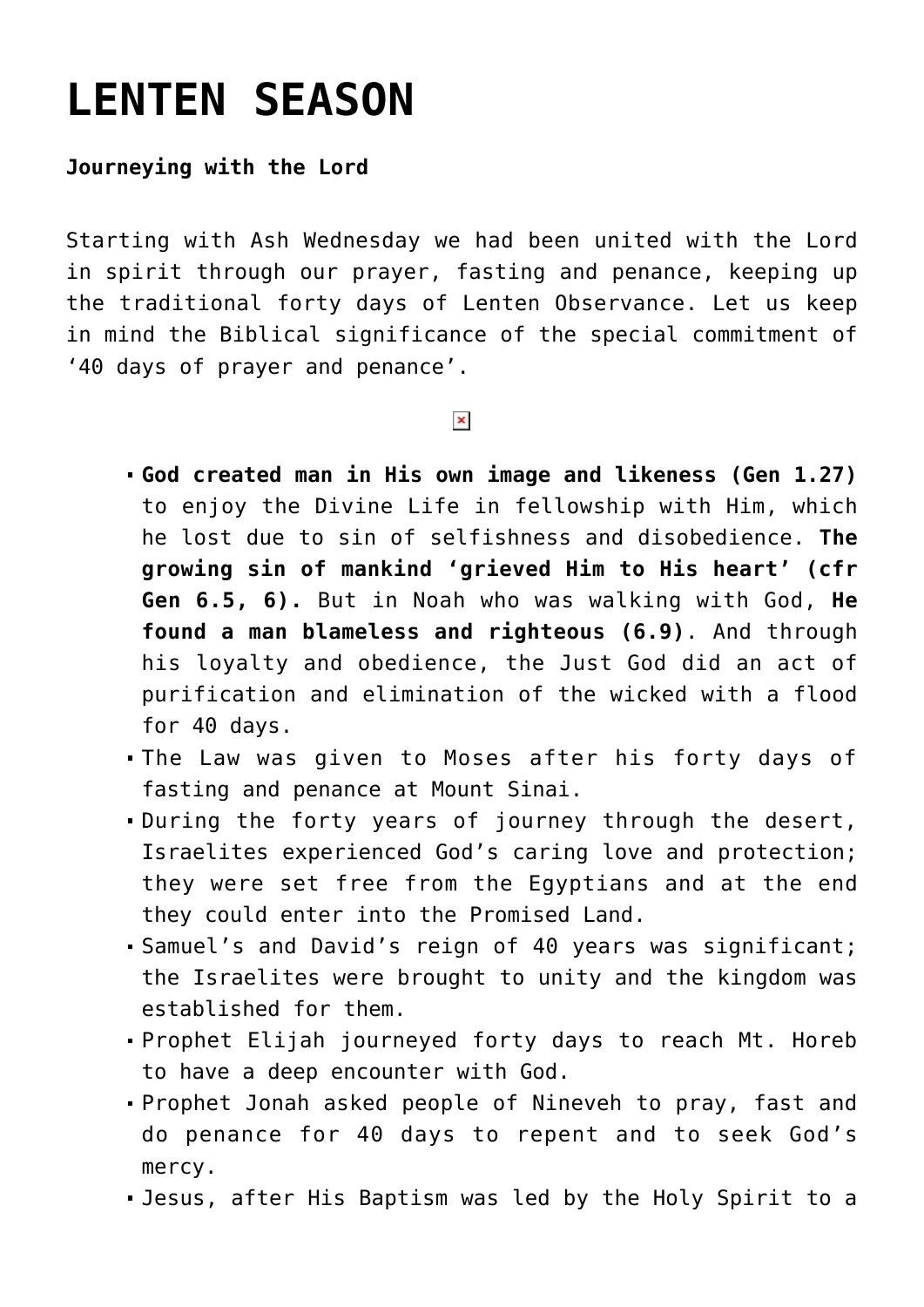## **[LENTEN SEASON](https://www.mariakumar.org/2011/03/09/lenten-season/)**

## **Journeying with the Lord**

Starting with Ash Wednesday we had been united with the Lord in spirit through our prayer, fasting and penance, keeping up the traditional forty days of Lenten Observance. Let us keep in mind the Biblical significance of the special commitment of '40 days of prayer and penance'.

## $\pmb{\times}$

- **God created man in His own image and likeness (Gen 1.27)** to enjoy the Divine Life in fellowship with Him, which he lost due to sin of selfishness and disobedience. **The growing sin of mankind 'grieved Him to His heart' (cfr Gen 6.5, 6).** But in Noah who was walking with God, **He found a man blameless and righteous (6.9)**. And through his loyalty and obedience, the Just God did an act of purification and elimination of the wicked with a flood for 40 days.
- The Law was given to Moses after his forty days of fasting and penance at Mount Sinai.
- During the forty years of journey through the desert, Israelites experienced God's caring love and protection; they were set free from the Egyptians and at the end they could enter into the Promised Land.
- Samuel's and David's reign of 40 years was significant; the Israelites were brought to unity and the kingdom was established for them.
- Prophet Elijah journeyed forty days to reach Mt. Horeb to have a deep encounter with God.
- Prophet Jonah asked people of Nineveh to pray, fast and do penance for 40 days to repent and to seek God's mercy.
- Jesus, after His Baptism was led by the Holy Spirit to a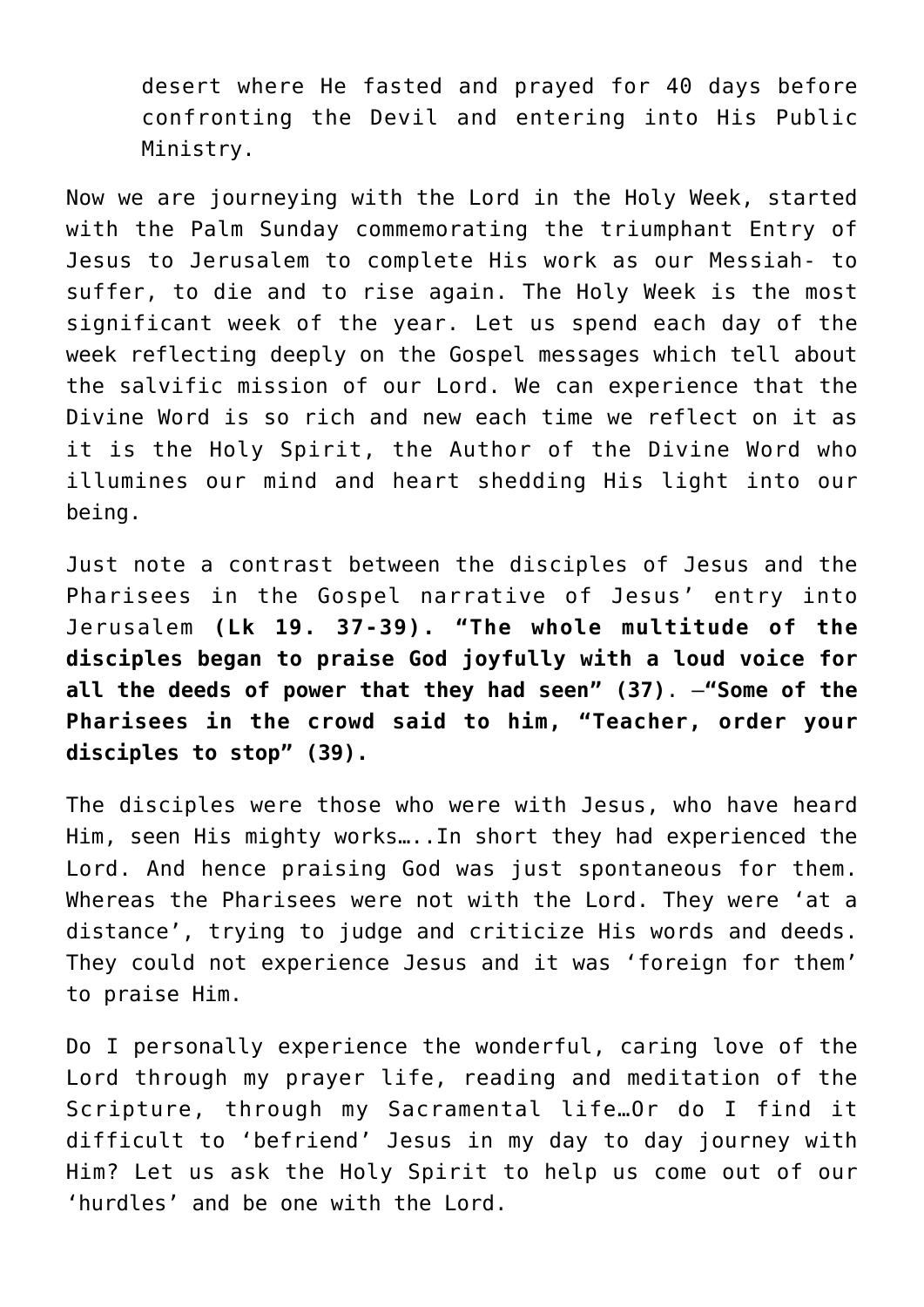desert where He fasted and prayed for 40 days before confronting the Devil and entering into His Public Ministry.

Now we are journeying with the Lord in the Holy Week, started with the Palm Sunday commemorating the triumphant Entry of Jesus to Jerusalem to complete His work as our Messiah- to suffer, to die and to rise again. The Holy Week is the most significant week of the year. Let us spend each day of the week reflecting deeply on the Gospel messages which tell about the salvific mission of our Lord. We can experience that the Divine Word is so rich and new each time we reflect on it as it is the Holy Spirit, the Author of the Divine Word who illumines our mind and heart shedding His light into our being.

Just note a contrast between the disciples of Jesus and the Pharisees in the Gospel narrative of Jesus' entry into Jerusalem **(Lk 19. 37-39). "The whole multitude of the disciples began to praise God joyfully with a loud voice for all the deeds of power that they had seen" (37)**. —**"Some of the Pharisees in the crowd said to him, "Teacher, order your disciples to stop" (39).**

The disciples were those who were with Jesus, who have heard Him, seen His mighty works…..In short they had experienced the Lord. And hence praising God was just spontaneous for them. Whereas the Pharisees were not with the Lord. They were 'at a distance', trying to judge and criticize His words and deeds. They could not experience Jesus and it was 'foreign for them' to praise Him.

Do I personally experience the wonderful, caring love of the Lord through my prayer life, reading and meditation of the Scripture, through my Sacramental life…Or do I find it difficult to 'befriend' Jesus in my day to day journey with Him? Let us ask the Holy Spirit to help us come out of our 'hurdles' and be one with the Lord.